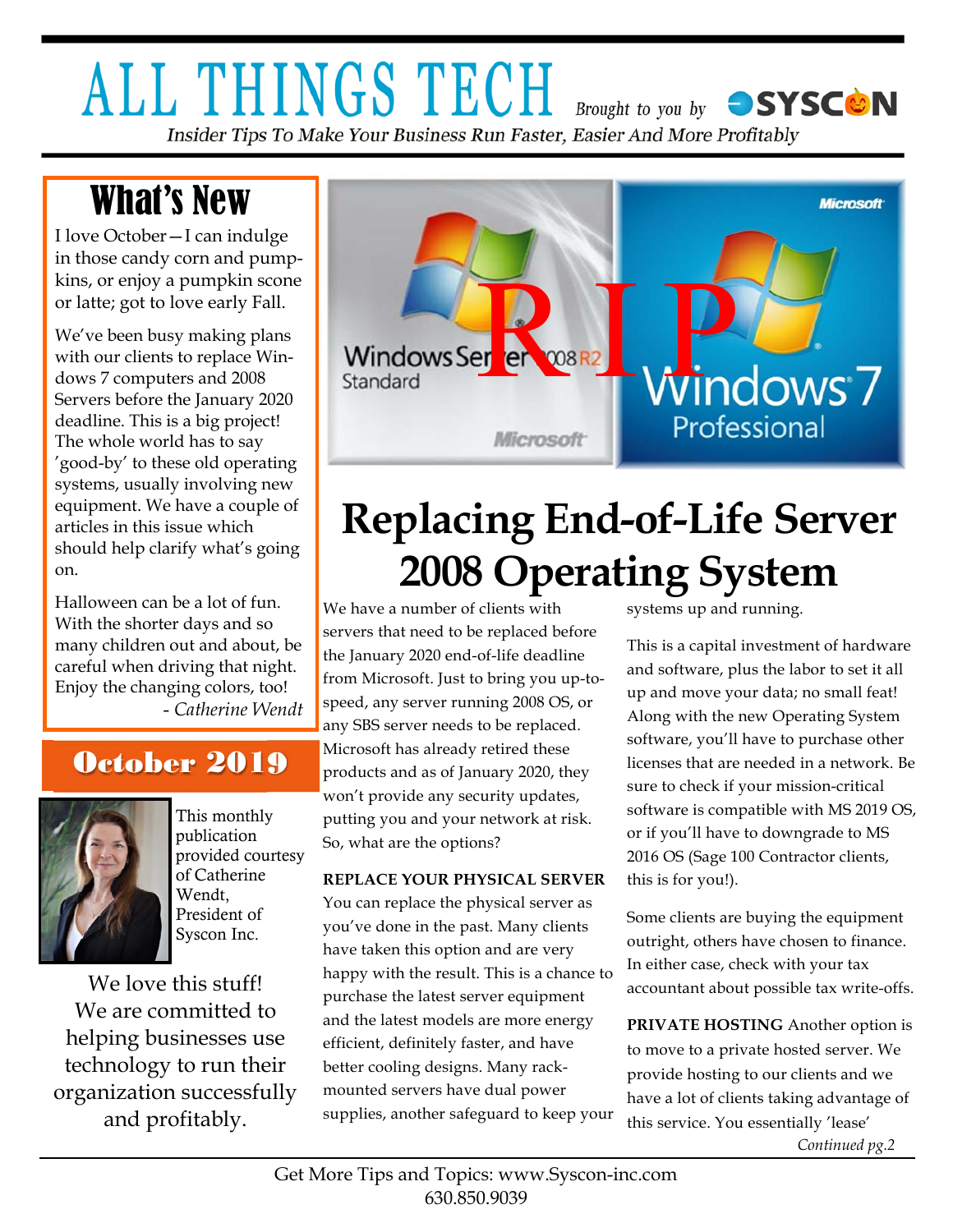### **ALL THINGS TECH** Brought to you by SYSCON Insider Tips To Make Your Business Run Faster, Easier And More Profitably

# What's New

I love October—I can indulge in those candy corn and pumpkins, or enjoy a pumpkin scone or latte; got to love early Fall.

We've been busy making plans with our clients to replace Windows 7 computers and 2008 Servers before the January 2020 deadline. This is a big project! The whole world has to say 'good-by' to these old operating systems, usually involving new equipment. We have a couple of articles in this issue which should help clarify what's going on.

Halloween can be a lot of fun. With the shorter days and so many children out and about, be careful when driving that night. Enjoy the changing colors, too! - *Catherine Wendt* 

### October 2019



This monthly publication provided courtesy of Catherine Wendt, President of Syscon Inc.

We love this stuff! We are committed to helping businesses use technology to run their organization successfully and profitably.



# **Replacing End-of-Life Server 2008 Operating System**

We have a number of clients with servers that need to be replaced before the January 2020 end-of-life deadline from Microsoft. Just to bring you up-tospeed, any server running 2008 OS, or any SBS server needs to be replaced. Microsoft has already retired these products and as of January 2020, they won't provide any security updates, putting you and your network at risk. So, what are the options?

#### **REPLACE YOUR PHYSICAL SERVER**

You can replace the physical server as you've done in the past. Many clients have taken this option and are very happy with the result. This is a chance to purchase the latest server equipment and the latest models are more energy efficient, definitely faster, and have better cooling designs. Many rackmounted servers have dual power supplies, another safeguard to keep your

systems up and running.

This is a capital investment of hardware and software, plus the labor to set it all up and move your data; no small feat! Along with the new Operating System software, you'll have to purchase other licenses that are needed in a network. Be sure to check if your mission-critical software is compatible with MS 2019 OS, or if you'll have to downgrade to MS 2016 OS (Sage 100 Contractor clients, this is for you!).

Some clients are buying the equipment outright, others have chosen to finance. In either case, check with your tax accountant about possible tax write-offs.

**PRIVATE HOSTING** Another option is to move to a private hosted server. We provide hosting to our clients and we have a lot of clients taking advantage of this service. You essentially 'lease'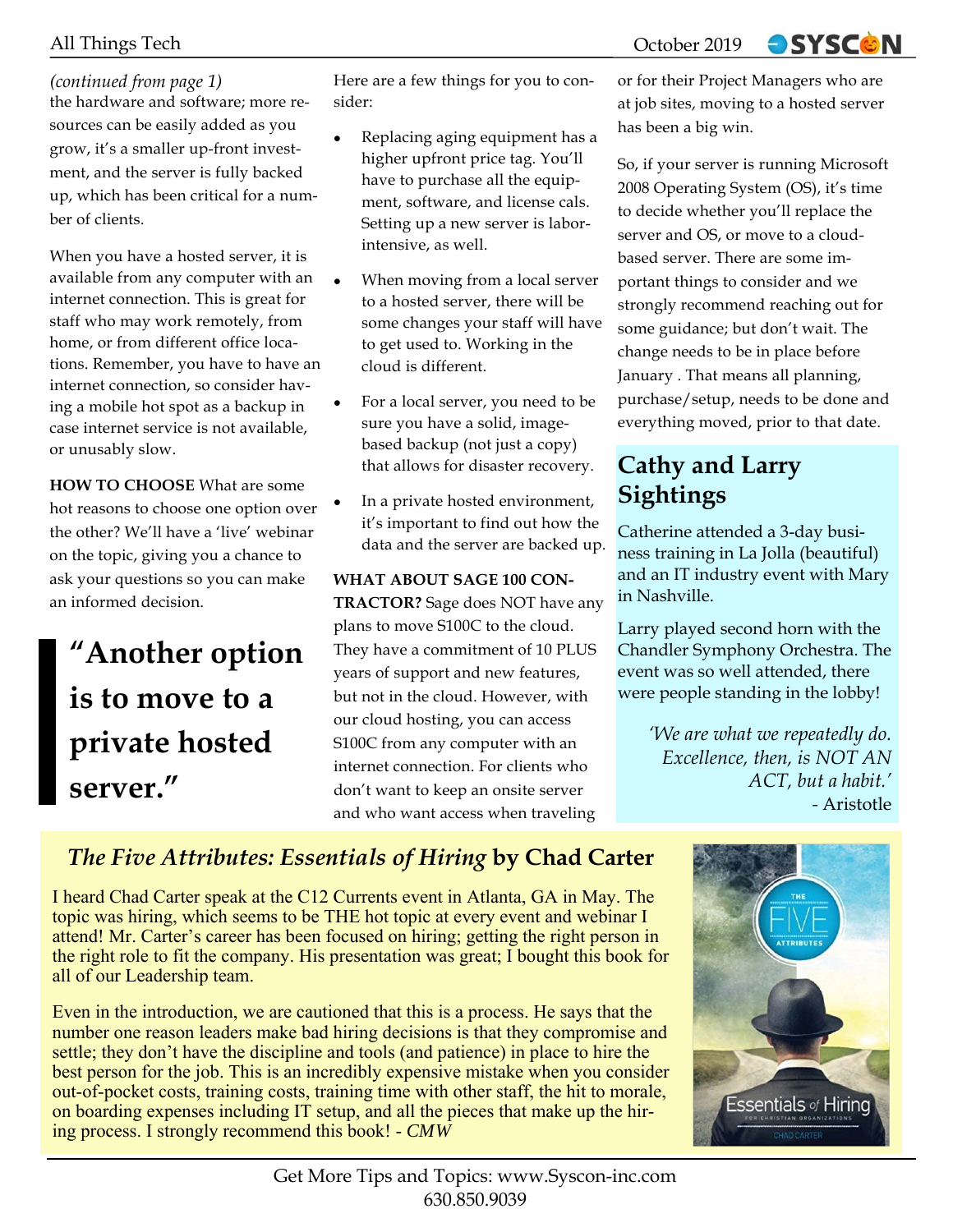### All Things Tech **October 2019**

### *(continued from page 1)*

the hardware and software; more resources can be easily added as you grow, it's a smaller up-front investment, and the server is fully backed up, which has been critical for a number of clients.

When you have a hosted server, it is available from any computer with an internet connection. This is great for staff who may work remotely, from home, or from different office locations. Remember, you have to have an internet connection, so consider having a mobile hot spot as a backup in case internet service is not available, or unusably slow.

**HOW TO CHOOSE** What are some hot reasons to choose one option over the other? We'll have a 'live' webinar on the topic, giving you a chance to ask your questions so you can make an informed decision.

## **"Another option is to move to a private hosted server."**

Here are a few things for you to consider:

- Replacing aging equipment has a higher upfront price tag. You'll have to purchase all the equipment, software, and license cals. Setting up a new server is laborintensive, as well.
- When moving from a local server to a hosted server, there will be some changes your staff will have to get used to. Working in the cloud is different.
- For a local server, you need to be sure you have a solid, imagebased backup (not just a copy) that allows for disaster recovery.
- In a private hosted environment, it's important to find out how the data and the server are backed up.

### **WHAT ABOUT SAGE 100 CON-**

**TRACTOR?** Sage does NOT have any plans to move S100C to the cloud. They have a commitment of 10 PLUS years of support and new features, but not in the cloud. However, with our cloud hosting, you can access S100C from any computer with an internet connection. For clients who don't want to keep an onsite server and who want access when traveling

or for their Project Managers who are at job sites, moving to a hosted server has been a big win.

**OSYSCON** 

So, if your server is running Microsoft 2008 Operating System (OS), it's time to decide whether you'll replace the server and OS, or move to a cloudbased server. There are some important things to consider and we strongly recommend reaching out for some guidance; but don't wait. The change needs to be in place before January . That means all planning, purchase/setup, needs to be done and everything moved, prior to that date.

### **Cathy and Larry Sightings**

Catherine attended a 3-day business training in La Jolla (beautiful) and an IT industry event with Mary in Nashville.

Larry played second horn with the Chandler Symphony Orchestra. The event was so well attended, there were people standing in the lobby!

> *'We are what we repeatedly do. Excellence, then, is NOT AN ACT, but a habit.' -* Aristotle

### *The Five Attributes: Essentials of Hiring* **by Chad Carter**

I heard Chad Carter speak at the C12 Currents event in Atlanta, GA in May. The topic was hiring, which seems to be THE hot topic at every event and webinar I attend! Mr. Carter's career has been focused on hiring; getting the right person in the right role to fit the company. His presentation was great; I bought this book for all of our Leadership team.

Even in the introduction, we are cautioned that this is a process. He says that the number one reason leaders make bad hiring decisions is that they compromise and settle; they don't have the discipline and tools (and patience) in place to hire the best person for the job. This is an incredibly expensive mistake when you consider out-of-pocket costs, training costs, training time with other staff, the hit to morale, on boarding expenses including IT setup, and all the pieces that make up the hiring process. I strongly recommend this book! - *CMW*

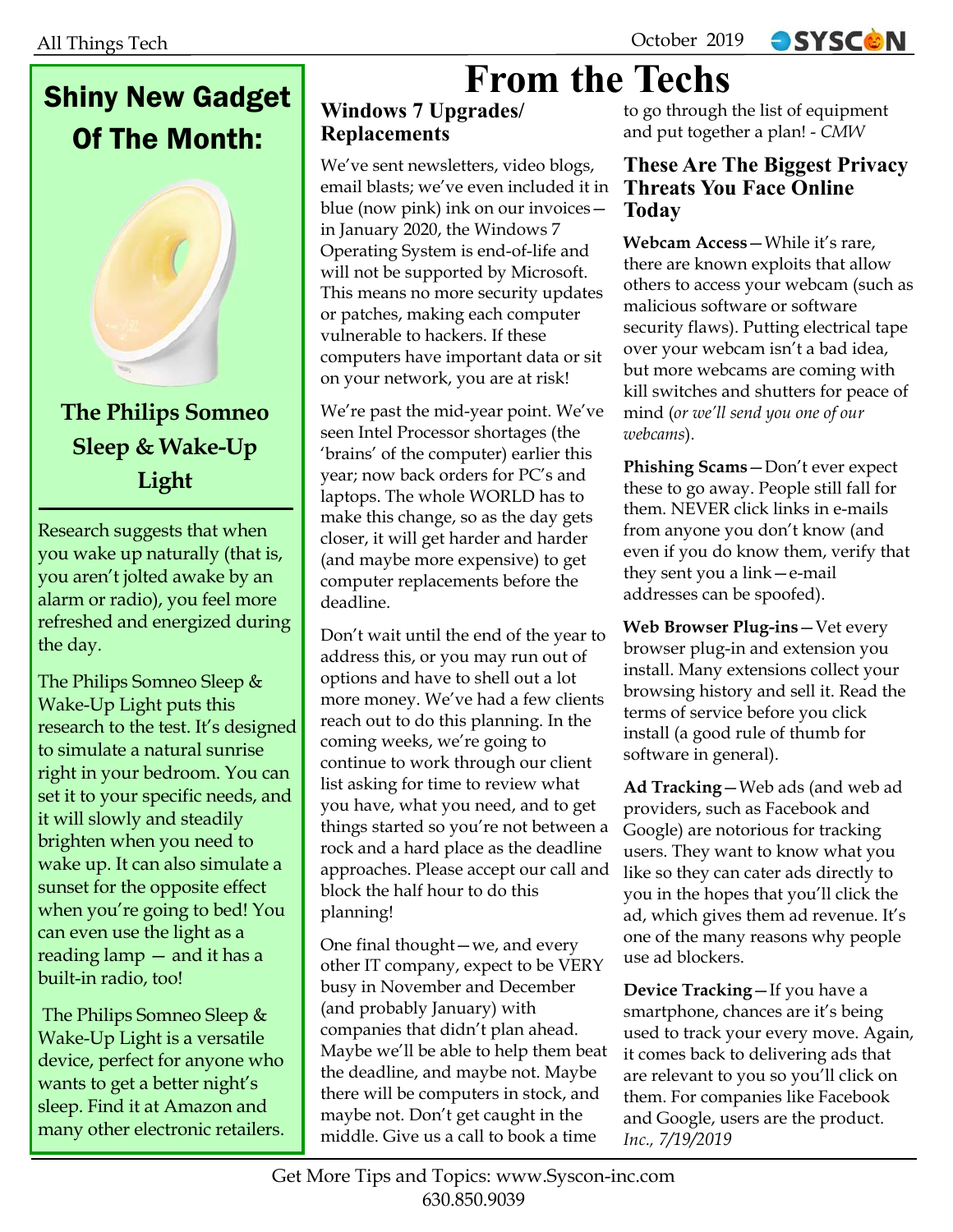### Shiny New Gadget Of The Month:



Research suggests that when you wake up naturally (that is, you aren't jolted awake by an alarm or radio), you feel more refreshed and energized during the day.

The Philips Somneo Sleep & Wake-Up Light puts this research to the test. It's designed to simulate a natural sunrise right in your bedroom. You can set it to your specific needs, and it will slowly and steadily brighten when you need to wake up. It can also simulate a sunset for the opposite effect when you're going to bed! You can even use the light as a reading lamp — and it has a built-in radio, too!

 The Philips Somneo Sleep & Wake-Up Light is a versatile device, perfect for anyone who wants to get a better night's sleep. Find it at Amazon and many other electronic retailers.

# **From the Techs**

### **Windows 7 Upgrades/ Replacements**

We've sent newsletters, video blogs, email blasts; we've even included it in blue (now pink) ink on our invoices in January 2020, the Windows 7 Operating System is end-of-life and will not be supported by Microsoft. This means no more security updates or patches, making each computer vulnerable to hackers. If these computers have important data or sit on your network, you are at risk!

We're past the mid-year point. We've seen Intel Processor shortages (the 'brains' of the computer) earlier this year; now back orders for PC's and laptops. The whole WORLD has to make this change, so as the day gets closer, it will get harder and harder (and maybe more expensive) to get computer replacements before the deadline.

Don't wait until the end of the year to address this, or you may run out of options and have to shell out a lot more money. We've had a few clients reach out to do this planning. In the coming weeks, we're going to continue to work through our client list asking for time to review what you have, what you need, and to get things started so you're not between a rock and a hard place as the deadline approaches. Please accept our call and block the half hour to do this planning!

One final thought—we, and every other IT company, expect to be VERY busy in November and December (and probably January) with companies that didn't plan ahead. Maybe we'll be able to help them beat the deadline, and maybe not. Maybe there will be computers in stock, and maybe not. Don't get caught in the middle. Give us a call to book a time

to go through the list of equipment and put together a plan! - *CMW* 

### **These Are The Biggest Privacy Threats You Face Online Today**

**OSYSCON** 

**Webcam Access**—While it's rare, there are known exploits that allow others to access your webcam (such as malicious software or software security flaws). Putting electrical tape over your webcam isn't a bad idea, but more webcams are coming with kill switches and shutters for peace of mind (*or we'll send you one of our webcams*).

**Phishing Scams**—Don't ever expect these to go away. People still fall for them. NEVER click links in e-mails from anyone you don't know (and even if you do know them, verify that they sent you a link—e-mail addresses can be spoofed).

**Web Browser Plug-ins**—Vet every browser plug-in and extension you install. Many extensions collect your browsing history and sell it. Read the terms of service before you click install (a good rule of thumb for software in general).

**Ad Tracking**—Web ads (and web ad providers, such as Facebook and Google) are notorious for tracking users. They want to know what you like so they can cater ads directly to you in the hopes that you'll click the ad, which gives them ad revenue. It's one of the many reasons why people use ad blockers.

**Device Tracking**—If you have a smartphone, chances are it's being used to track your every move. Again, it comes back to delivering ads that are relevant to you so you'll click on them. For companies like Facebook and Google, users are the product. *Inc., 7/19/2019*